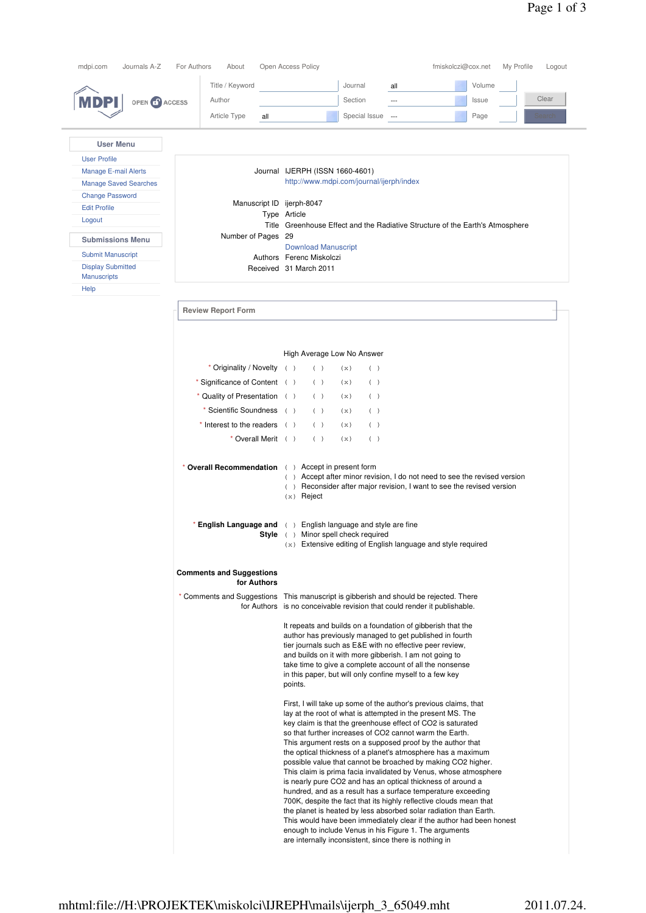|                              | Title / Keyword                                | Volume<br>Journal<br>all                                                                                                                                                                                                                                                                                                                                                                                                                                                                                                                                                                                                                                                                                                                                                                                                                                                      |
|------------------------------|------------------------------------------------|-------------------------------------------------------------------------------------------------------------------------------------------------------------------------------------------------------------------------------------------------------------------------------------------------------------------------------------------------------------------------------------------------------------------------------------------------------------------------------------------------------------------------------------------------------------------------------------------------------------------------------------------------------------------------------------------------------------------------------------------------------------------------------------------------------------------------------------------------------------------------------|
|                              | Author                                         | Clear<br>Section<br>Issue<br>$\overline{\phantom{a}}$                                                                                                                                                                                                                                                                                                                                                                                                                                                                                                                                                                                                                                                                                                                                                                                                                         |
| OPEN CO ACCESS               |                                                |                                                                                                                                                                                                                                                                                                                                                                                                                                                                                                                                                                                                                                                                                                                                                                                                                                                                               |
|                              | Article Type<br>all                            | Special Issue<br>Page<br>Search<br>$---$                                                                                                                                                                                                                                                                                                                                                                                                                                                                                                                                                                                                                                                                                                                                                                                                                                      |
| <b>User Menu</b>             |                                                |                                                                                                                                                                                                                                                                                                                                                                                                                                                                                                                                                                                                                                                                                                                                                                                                                                                                               |
| <b>User Profile</b>          |                                                |                                                                                                                                                                                                                                                                                                                                                                                                                                                                                                                                                                                                                                                                                                                                                                                                                                                                               |
| <b>Manage E-mail Alerts</b>  |                                                | Journal IJERPH (ISSN 1660-4601)                                                                                                                                                                                                                                                                                                                                                                                                                                                                                                                                                                                                                                                                                                                                                                                                                                               |
| <b>Manage Saved Searches</b> |                                                | http://www.mdpi.com/journal/ijerph/index                                                                                                                                                                                                                                                                                                                                                                                                                                                                                                                                                                                                                                                                                                                                                                                                                                      |
| <b>Change Password</b>       |                                                | Manuscript ID ijerph-8047                                                                                                                                                                                                                                                                                                                                                                                                                                                                                                                                                                                                                                                                                                                                                                                                                                                     |
| <b>Edit Profile</b>          |                                                | Type Article                                                                                                                                                                                                                                                                                                                                                                                                                                                                                                                                                                                                                                                                                                                                                                                                                                                                  |
| Logout                       |                                                | Title Greenhouse Effect and the Radiative Structure of the Earth's Atmosphere                                                                                                                                                                                                                                                                                                                                                                                                                                                                                                                                                                                                                                                                                                                                                                                                 |
| <b>Submissions Menu</b>      | Number of Pages 29                             |                                                                                                                                                                                                                                                                                                                                                                                                                                                                                                                                                                                                                                                                                                                                                                                                                                                                               |
| <b>Submit Manuscript</b>     |                                                | <b>Download Manuscript</b><br>Authors Ferenc Miskolczi                                                                                                                                                                                                                                                                                                                                                                                                                                                                                                                                                                                                                                                                                                                                                                                                                        |
| <b>Display Submitted</b>     |                                                | Received 31 March 2011                                                                                                                                                                                                                                                                                                                                                                                                                                                                                                                                                                                                                                                                                                                                                                                                                                                        |
| <b>Manuscripts</b>           |                                                |                                                                                                                                                                                                                                                                                                                                                                                                                                                                                                                                                                                                                                                                                                                                                                                                                                                                               |
| Help                         |                                                |                                                                                                                                                                                                                                                                                                                                                                                                                                                                                                                                                                                                                                                                                                                                                                                                                                                                               |
|                              | <b>Review Report Form</b>                      |                                                                                                                                                                                                                                                                                                                                                                                                                                                                                                                                                                                                                                                                                                                                                                                                                                                                               |
|                              |                                                |                                                                                                                                                                                                                                                                                                                                                                                                                                                                                                                                                                                                                                                                                                                                                                                                                                                                               |
|                              |                                                | High Average Low No Answer                                                                                                                                                                                                                                                                                                                                                                                                                                                                                                                                                                                                                                                                                                                                                                                                                                                    |
|                              | * Originality / Novelty ()                     | ( )<br>(x)<br>( )                                                                                                                                                                                                                                                                                                                                                                                                                                                                                                                                                                                                                                                                                                                                                                                                                                                             |
|                              | * Significance of Content ()                   | ( )<br>(x)<br>( )                                                                                                                                                                                                                                                                                                                                                                                                                                                                                                                                                                                                                                                                                                                                                                                                                                                             |
|                              | * Quality of Presentation ()                   | ( )<br>( )<br>(x)                                                                                                                                                                                                                                                                                                                                                                                                                                                                                                                                                                                                                                                                                                                                                                                                                                                             |
|                              | * Scientific Soundness ()                      | ( )<br>( )<br>(x)                                                                                                                                                                                                                                                                                                                                                                                                                                                                                                                                                                                                                                                                                                                                                                                                                                                             |
|                              | $*$ Interest to the readers $( )$              | ( )<br>(x)<br>( )                                                                                                                                                                                                                                                                                                                                                                                                                                                                                                                                                                                                                                                                                                                                                                                                                                                             |
|                              | * Overall Merit ()                             | ( )<br>(x)<br>( )                                                                                                                                                                                                                                                                                                                                                                                                                                                                                                                                                                                                                                                                                                                                                                                                                                                             |
|                              |                                                |                                                                                                                                                                                                                                                                                                                                                                                                                                                                                                                                                                                                                                                                                                                                                                                                                                                                               |
|                              |                                                | * Overall Recommendation () Accept in present form<br>() Accept after minor revision, I do not need to see the revised version<br>() Reconsider after major revision, I want to see the revised version<br>$(x)$ Reject                                                                                                                                                                                                                                                                                                                                                                                                                                                                                                                                                                                                                                                       |
|                              |                                                | * English Language and () English language and style are fine<br>Style ( ) Minor spell check required<br>(x) Extensive editing of English language and style required                                                                                                                                                                                                                                                                                                                                                                                                                                                                                                                                                                                                                                                                                                         |
|                              | <b>Comments and Suggestions</b><br>for Authors |                                                                                                                                                                                                                                                                                                                                                                                                                                                                                                                                                                                                                                                                                                                                                                                                                                                                               |
|                              |                                                | * Comments and Suggestions This manuscript is gibberish and should be rejected. There<br>for Authors is no conceivable revision that could render it publishable.                                                                                                                                                                                                                                                                                                                                                                                                                                                                                                                                                                                                                                                                                                             |
|                              |                                                | It repeats and builds on a foundation of gibberish that the<br>author has previously managed to get published in fourth<br>tier journals such as E&E with no effective peer review,<br>and builds on it with more gibberish. I am not going to<br>take time to give a complete account of all the nonsense<br>in this paper, but will only confine myself to a few key<br>points.                                                                                                                                                                                                                                                                                                                                                                                                                                                                                             |
|                              |                                                | First, I will take up some of the author's previous claims, that<br>lay at the root of what is attempted in the present MS. The<br>key claim is that the greenhouse effect of CO2 is saturated<br>so that further increases of CO2 cannot warm the Earth.<br>This argument rests on a supposed proof by the author that<br>the optical thickness of a planet's atmosphere has a maximum<br>possible value that cannot be broached by making CO2 higher.<br>This claim is prima facia invalidated by Venus, whose atmosphere<br>is nearly pure CO2 and has an optical thickness of around a<br>hundred, and as a result has a surface temperature exceeding<br>700K, despite the fact that its highly reflective clouds mean that<br>the planet is heated by less absorbed solar radiation than Earth.<br>This would have been immediately clear if the author had been honest |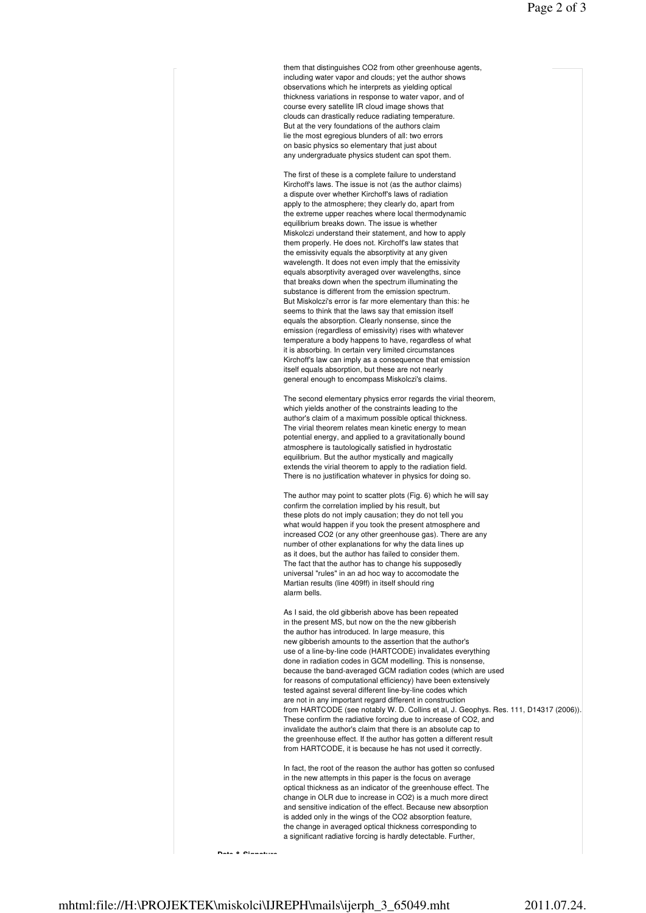them that distinguishes CO2 from other greenhouse agents, including water vapor and clouds; yet the author shows observations which he interprets as yielding optical thickness variations in response to water vapor, and of course every satellite IR cloud image shows that clouds can drastically reduce radiating temperature. But at the very foundations of the authors claim lie the most egregious blunders of all: two errors on basic physics so elementary that just about any undergraduate physics student can spot them.

The first of these is a complete failure to understand Kirchoff's laws. The issue is not (as the author claims) a dispute over whether Kirchoff's laws of radiation apply to the atmosphere; they clearly do, apart from the extreme upper reaches where local thermodynamic equilibrium breaks down. The issue is whether Miskolczi understand their statement, and how to apply them properly. He does not. Kirchoff's law states that the emissivity equals the absorptivity at any given wavelength. It does not even imply that the emissivity equals absorptivity averaged over wavelengths, since that breaks down when the spectrum illuminating the substance is different from the emission spectrum. But Miskolczi's error is far more elementary than this: he seems to think that the laws say that emission itself equals the absorption. Clearly nonsense, since the emission (regardless of emissivity) rises with whatever temperature a body happens to have, regardless of what it is absorbing. In certain very limited circumstances Kirchoff's law can imply as a consequence that emission itself equals absorption, but these are not nearly general enough to encompass Miskolczi's claims.

The second elementary physics error regards the virial theorem, which yields another of the constraints leading to the author's claim of a maximum possible optical thickness. The virial theorem relates mean kinetic energy to mean potential energy, and applied to a gravitationally bound atmosphere is tautologically satisfied in hydrostatic equilibrium. But the author mystically and magically extends the virial theorem to apply to the radiation field. There is no justification whatever in physics for doing so.

The author may point to scatter plots (Fig. 6) which he will say confirm the correlation implied by his result, but these plots do not imply causation; they do not tell you what would happen if you took the present atmosphere and increased CO2 (or any other greenhouse gas). There are any number of other explanations for why the data lines up as it does, but the author has failed to consider them. The fact that the author has to change his supposedly universal "rules" in an ad hoc way to accomodate the Martian results (line 409ff) in itself should ring alarm bells.

As I said, the old gibberish above has been repeated in the present MS, but now on the the new gibberish the author has introduced. In large measure, this new gibberish amounts to the assertion that the author's use of a line-by-line code (HARTCODE) invalidates everything done in radiation codes in GCM modelling. This is nonsense, because the band-averaged GCM radiation codes (which are used for reasons of computational efficiency) have been extensively tested against several different line-by-line codes which are not in any important regard different in construction from HARTCODE (see notably W. D. Collins et al, J. Geophys. Res. 111, D14317 (2006)). These confirm the radiative forcing due to increase of CO2, and invalidate the author's claim that there is an absolute cap to the greenhouse effect. If the author has gotten a different result from HARTCODE, it is because he has not used it correctly.

In fact, the root of the reason the author has gotten so confused in the new attempts in this paper is the focus on average optical thickness as an indicator of the greenhouse effect. The change in OLR due to increase in CO2) is a much more direct and sensitive indication of the effect. Because new absorption is added only in the wings of the CO2 absorption feature the change in averaged optical thickness corresponding to a significant radiative forcing is hardly detectable. Further,

**Date & Signature**